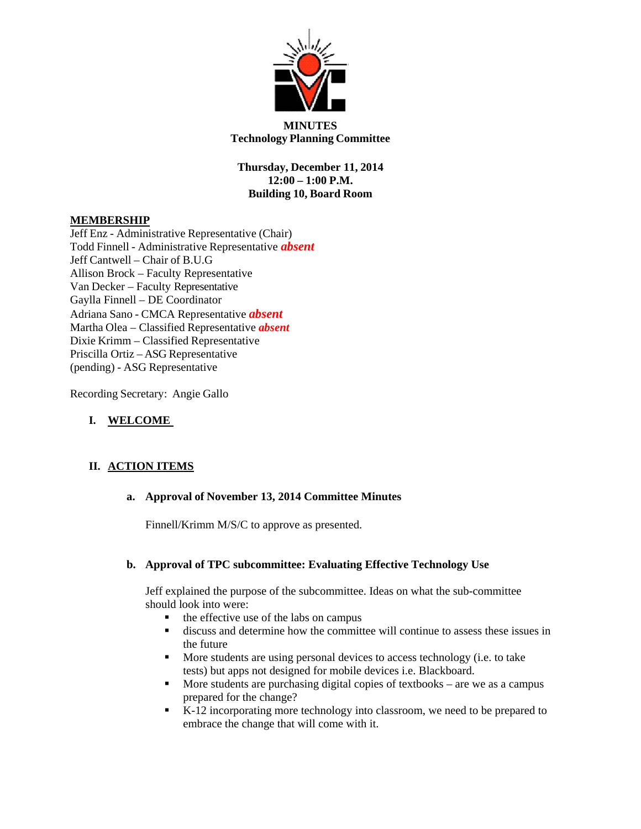

# **MINUTES Technology Planning Committee**

**Thursday, December 11, 2014 12:00 – 1:00 P.M. Building 10, Board Room**

## **MEMBERSHIP**

Jeff Enz - Administrative Representative (Chair) Todd Finnell - Administrative Representative *absent* Jeff Cantwell – Chair of B.U.G Allison Brock – Faculty Representative Van Decker – Faculty Representative Gaylla Finnell – DE Coordinator Adriana Sano - CMCA Representative *absent* Martha Olea – Classified Representative *absent* Dixie Krimm – Classified Representative Priscilla Ortiz – ASG Representative (pending) - ASG Representative

Recording Secretary: Angie Gallo

# **I. WELCOME**

# **II. ACTION ITEMS**

# **a. Approval of November 13, 2014 Committee Minutes**

Finnell/Krimm M/S/C to approve as presented.

# **b. Approval of TPC subcommittee: Evaluating Effective Technology Use**

Jeff explained the purpose of the subcommittee. Ideas on what the sub-committee should look into were:

- $\blacksquare$  the effective use of the labs on campus
- discuss and determine how the committee will continue to assess these issues in the future
- More students are using personal devices to access technology (i.e. to take tests) but apps not designed for mobile devices i.e. Blackboard.
- $\blacksquare$  More students are purchasing digital copies of textbooks are we as a campus prepared for the change?
- K-12 incorporating more technology into classroom, we need to be prepared to embrace the change that will come with it.